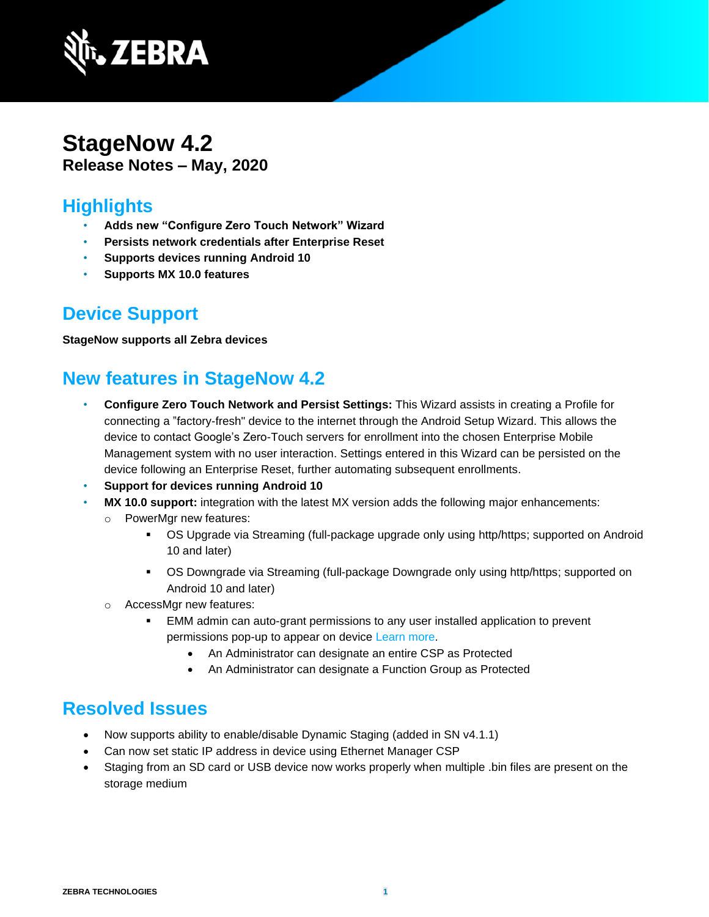

#### **StageNow 4.2 Release Notes – May, 2020**

#### **Highlights**

- **Adds new "Configure Zero Touch Network" Wizard**
- **Persists network credentials after Enterprise Reset**
- **Supports devices running Android 10**
- **Supports MX 10.0 features**

### **Device Support**

**StageNow supports all Zebra devices**

# **New features in StageNow 4.2**

- **Configure Zero Touch Network and Persist Settings:** This Wizard assists in creating a Profile for connecting a "factory-fresh" device to the internet through the Android Setup Wizard. This allows the device to contact Google's Zero-Touch servers for enrollment into the chosen Enterprise Mobile Management system with no user interaction. Settings entered in this Wizard can be persisted on the device following an Enterprise Reset, further automating subsequent enrollments.
- **Support for devices running Android 10**
- **MX 10.0 support:** integration with the latest MX version adds the following major enhancements:
	- o PowerMgr new features:
		- OS Upgrade via Streaming (full-package upgrade only using http/https; supported on Android 10 and later)
		- OS Downgrade via Streaming (full-package Downgrade only using http/https; supported on Android 10 and later)
	- o AccessMgr new features:
		- EMM admin can auto-grant permissions to any user installed application to prevent permissions pop-up to appear on device [Learn more.](http://zebra-stage.github.io/mx/accessmgr/#permission-access-action)
			- An Administrator can designate an entire CSP as Protected
			- An Administrator can designate a Function Group as Protected

## **Resolved Issues**

- Now supports ability to enable/disable Dynamic Staging (added in SN v4.1.1)
- Can now set static IP address in device using Ethernet Manager CSP
- Staging from an SD card or USB device now works properly when multiple .bin files are present on the storage medium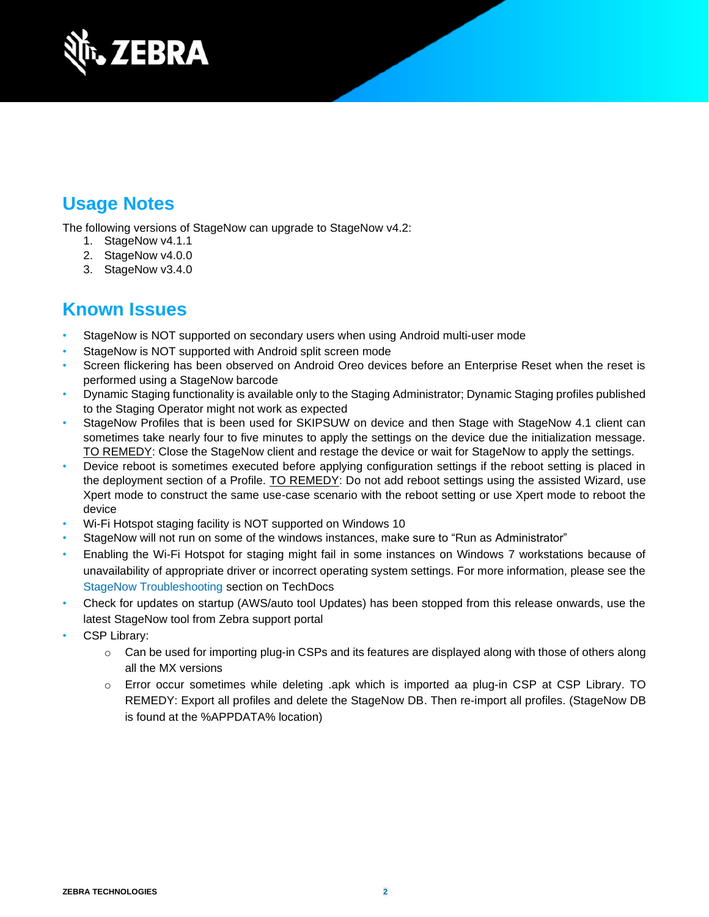

## **Usage Notes**

The following versions of StageNow can upgrade to StageNow v4.2:

- 1. StageNow v4.1.1
- 2. StageNow v4.0.0
- 3. StageNow v3.4.0

### **Known Issues**

- StageNow is NOT supported on secondary users when using Android multi-user mode
- StageNow is NOT supported with Android split screen mode
- Screen flickering has been observed on Android Oreo devices before an Enterprise Reset when the reset is performed using a StageNow barcode
- Dynamic Staging functionality is available only to the Staging Administrator; Dynamic Staging profiles published to the Staging Operator might not work as expected
- StageNow Profiles that is been used for SKIPSUW on device and then Stage with StageNow 4.1 client can sometimes take nearly four to five minutes to apply the settings on the device due the initialization message. TO REMEDY: Close the StageNow client and restage the device or wait for StageNow to apply the settings.
- Device reboot is sometimes executed before applying configuration settings if the reboot setting is placed in the deployment section of a Profile. TO REMEDY: Do not add reboot settings using the assisted Wizard, use Xpert mode to construct the same use-case scenario with the reboot setting or use Xpert mode to reboot the device
- Wi-Fi Hotspot staging facility is NOT supported on Windows 10
- StageNow will not run on some of the windows instances, make sure to "Run as Administrator"
- Enabling the Wi-Fi Hotspot for staging might fail in some instances on Windows 7 workstations because of unavailability of appropriate driver or incorrect operating system settings. For more information, please see the [StageNow Troubleshooting](http://techdocs.zebra.com/stagenow/latest/troubleshooting/) section on TechDocs
- Check for updates on startup (AWS/auto tool Updates) has been stopped from this release onwards, use the latest StageNow tool from Zebra support portal
- CSP Library:
	- $\circ$  Can be used for importing plug-in CSPs and its features are displayed along with those of others along all the MX versions
	- o Error occur sometimes while deleting .apk which is imported aa plug-in CSP at CSP Library. TO REMEDY: Export all profiles and delete the StageNow DB. Then re-import all profiles. (StageNow DB is found at the %APPDATA% location)